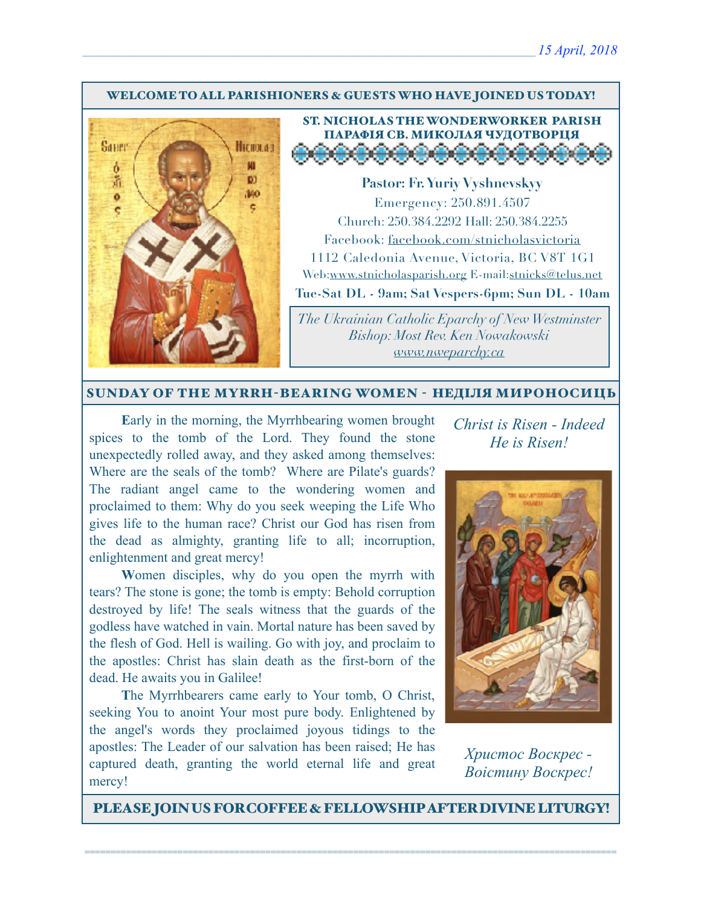#### WELCOME TO ALL PARISHIONERS & GUESTS WHO HAVE JOINED US TODAY!



### ST. NICHOLAS THE WONDERWORKER PARISH ПАРАФІЯ СВ. МИКОЛАЯ ЧУДОТВОРЦЯ <u> Salaman a la la la la la l</u>

**Pastor: Fr. Yuriy Vyshnevskyy** Emergency: 250.891.4507 Church: 250.384.2292 Hall: 250.384.2255 Facebook: facebook.com/stnicholasvictoria 1112 Caledonia Avenue, Victoria, BC V8T 1G1 Web[:www.stnicholasparish.org](http://www.stnicholasparish.org) E-mail:[stnicks@telus.net](mailto:stnicks@telus.net) **Tue-Sat DL - 9am; Sat Vespers-6pm; Sun DL - 10am**

*The Ukrainian Catholic Eparchy of New Westminster Bishop: Most Rev. Ken Nowakowski [www.nweparchy.ca](http://www.nweparchy.ca)*

#### SUNDAY OF THE MYRRH-BEARING WOMEN - НЕДІЛЯ МИРОНОСИЦЬ

**E**arly in the morning, the Myrrhbearing women brought spices to the tomb of the Lord. They found the stone unexpectedly rolled away, and they asked among themselves: Where are the seals of the tomb? Where are Pilate's guards? The radiant angel came to the wondering women and proclaimed to them: Why do you seek weeping the Life Who gives life to the human race? Christ our God has risen from the dead as almighty, granting life to all; incorruption, enlightenment and great mercy!

**W**omen disciples, why do you open the myrrh with tears? The stone is gone; the tomb is empty: Behold corruption destroyed by life! The seals witness that the guards of the godless have watched in vain. Mortal nature has been saved by the flesh of God. Hell is wailing. Go with joy, and proclaim to the apostles: Christ has slain death as the first-born of the dead. He awaits you in Galilee!

**T**he Myrrhbearers came early to Your tomb, O Christ, seeking You to anoint Your most pure body. Enlightened by the angel's words they proclaimed joyous tidings to the apostles: The Leader of our salvation has been raised; He has captured death, granting the world eternal life and great mercy!

*Christ is Risen - Indeed He is Risen!* 



*Христос Воскрес - Воістину Воскрес!*

PLEASE JOIN US FOR COFFEE & FELLOWSHIP AFTER DIVINE LITURGY!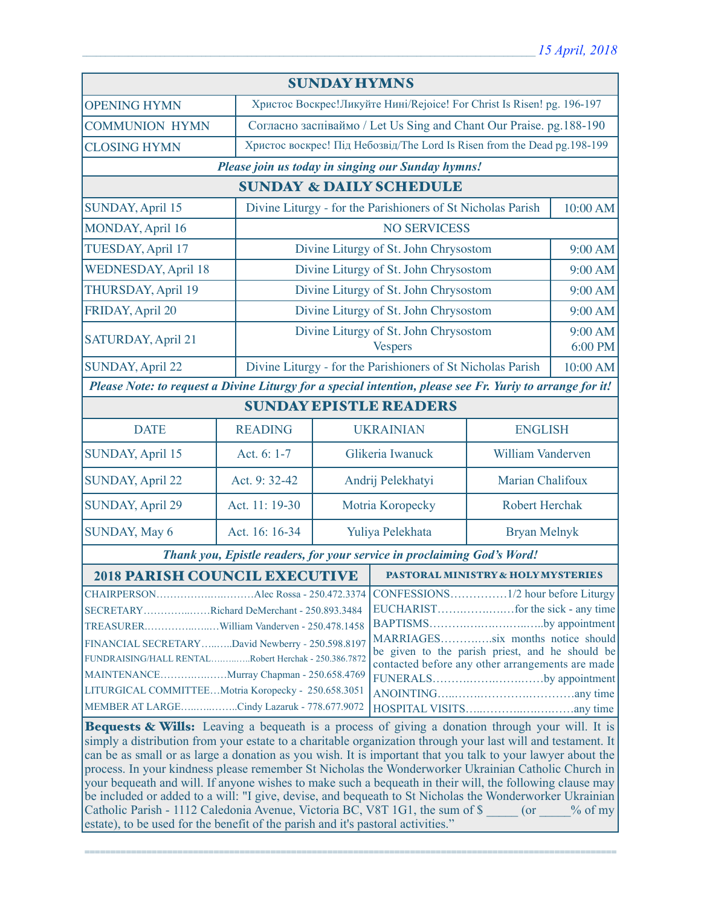| <b>SUNDAY HYMNS</b>                                                                                       |                |                                                                           |                                                                                      |                                    |                    |  |
|-----------------------------------------------------------------------------------------------------------|----------------|---------------------------------------------------------------------------|--------------------------------------------------------------------------------------|------------------------------------|--------------------|--|
| <b>OPENING HYMN</b>                                                                                       |                | Христос Воскрес!Ликуйте Нині/Rejoice! For Christ Is Risen! pg. 196-197    |                                                                                      |                                    |                    |  |
| <b>COMMUNION HYMN</b>                                                                                     |                | Согласно заспіваймо / Let Us Sing and Chant Our Praise. pg. 188-190       |                                                                                      |                                    |                    |  |
| <b>CLOSING HYMN</b>                                                                                       |                | Христос воскрес! Під Небозвід/The Lord Is Risen from the Dead pg. 198-199 |                                                                                      |                                    |                    |  |
| Please join us today in singing our Sunday hymns!                                                         |                |                                                                           |                                                                                      |                                    |                    |  |
| <b>SUNDAY &amp; DAILY SCHEDULE</b>                                                                        |                |                                                                           |                                                                                      |                                    |                    |  |
| SUNDAY, April 15                                                                                          |                | Divine Liturgy - for the Parishioners of St Nicholas Parish               |                                                                                      | 10:00 AM                           |                    |  |
| MONDAY, April 16                                                                                          |                |                                                                           | <b>NO SERVICESS</b>                                                                  |                                    |                    |  |
| TUESDAY, April 17                                                                                         |                |                                                                           | Divine Liturgy of St. John Chrysostom                                                |                                    | 9:00 AM            |  |
| <b>WEDNESDAY, April 18</b>                                                                                |                |                                                                           | Divine Liturgy of St. John Chrysostom                                                |                                    | 9:00 AM            |  |
| THURSDAY, April 19                                                                                        |                |                                                                           | Divine Liturgy of St. John Chrysostom                                                |                                    | 9:00 AM            |  |
| FRIDAY, April 20                                                                                          |                | Divine Liturgy of St. John Chrysostom                                     |                                                                                      |                                    | 9:00 AM            |  |
| SATURDAY, April 21                                                                                        |                | Divine Liturgy of St. John Chrysostom<br><b>Vespers</b>                   |                                                                                      |                                    | 9:00 AM<br>6:00 PM |  |
| <b>SUNDAY, April 22</b>                                                                                   |                |                                                                           | Divine Liturgy - for the Parishioners of St Nicholas Parish                          |                                    | 10:00 AM           |  |
| Please Note: to request a Divine Liturgy for a special intention, please see Fr. Yuriy to arrange for it! |                |                                                                           |                                                                                      |                                    |                    |  |
| <b>SUNDAY EPISTLE READERS</b>                                                                             |                |                                                                           |                                                                                      |                                    |                    |  |
| <b>DATE</b>                                                                                               | <b>READING</b> |                                                                           |                                                                                      | <b>UKRAINIAN</b><br><b>ENGLISH</b> |                    |  |
| <b>SUNDAY, April 15</b>                                                                                   | Act. 6: 1-7    | Glikeria Iwanuck                                                          |                                                                                      | <b>William Vanderven</b>           |                    |  |
| <b>SUNDAY, April 22</b>                                                                                   | Act. 9: 32-42  | Andrij Pelekhatyi                                                         |                                                                                      | Marian Chalifoux                   |                    |  |
| <b>SUNDAY, April 29</b>                                                                                   | Act. 11: 19-30 | Motria Koropecky                                                          |                                                                                      | Robert Herchak                     |                    |  |
| <b>SUNDAY, May 6</b>                                                                                      | Act. 16: 16-34 | Yuliya Pelekhata                                                          |                                                                                      |                                    | Bryan Melnyk       |  |
| Thank you, Epistle readers, for your service in proclaiming God's Word!                                   |                |                                                                           |                                                                                      |                                    |                    |  |
| <b>2018 PARISH COUNCIL EXECUTIVE</b>                                                                      |                |                                                                           | <b>PASTORAL MINISTRY &amp; HOLY MYSTERIES</b>                                        |                                    |                    |  |
|                                                                                                           |                |                                                                           |                                                                                      |                                    |                    |  |
| SECRETARYRichard DeMerchant - 250.893.3484                                                                |                |                                                                           |                                                                                      |                                    |                    |  |
|                                                                                                           |                |                                                                           | BAPTISMSby appointment                                                               |                                    |                    |  |
| FINANCIAL SECRETARYDavid Newberry - 250.598.8197                                                          |                |                                                                           | MARRIAGESsix months notice should<br>be given to the parish priest, and he should be |                                    |                    |  |
| FUNDRAISING/HALL RENTALRobert Herchak - 250.386.7872                                                      |                |                                                                           | contacted before any other arrangements are made                                     |                                    |                    |  |
| MAINTENANCEMurray Chapman - 250.658.4769                                                                  |                |                                                                           | FUNERALSby appointment                                                               |                                    |                    |  |
| LITURGICAL COMMITTEEMotria Koropecky - 250.658.3051                                                       |                |                                                                           |                                                                                      |                                    |                    |  |
| MEMBER AT LARGECindy Lazaruk - 778.677.9072                                                               |                |                                                                           |                                                                                      |                                    |                    |  |
| Bequests & Wills: Leaving a bequeath is a process of giving a donation through your will. It is           |                |                                                                           |                                                                                      |                                    |                    |  |

simply a distribution from your estate to a charitable organization through your last will and testament. It can be as small or as large a donation as you wish. It is important that you talk to your lawyer about the process. In your kindness please remember St Nicholas the Wonderworker Ukrainian Catholic Church in your bequeath and will. If anyone wishes to make such a bequeath in their will, the following clause may be included or added to a will: "I give, devise, and bequeath to St Nicholas the Wonderworker Ukrainian Catholic Parish - 1112 Caledonia Avenue, Victoria BC, V8T 1G1, the sum of \$  $\qquad \qquad$  (or  $\qquad \qquad$  % of my estate), to be used for the benefit of the parish and it's pastoral activities."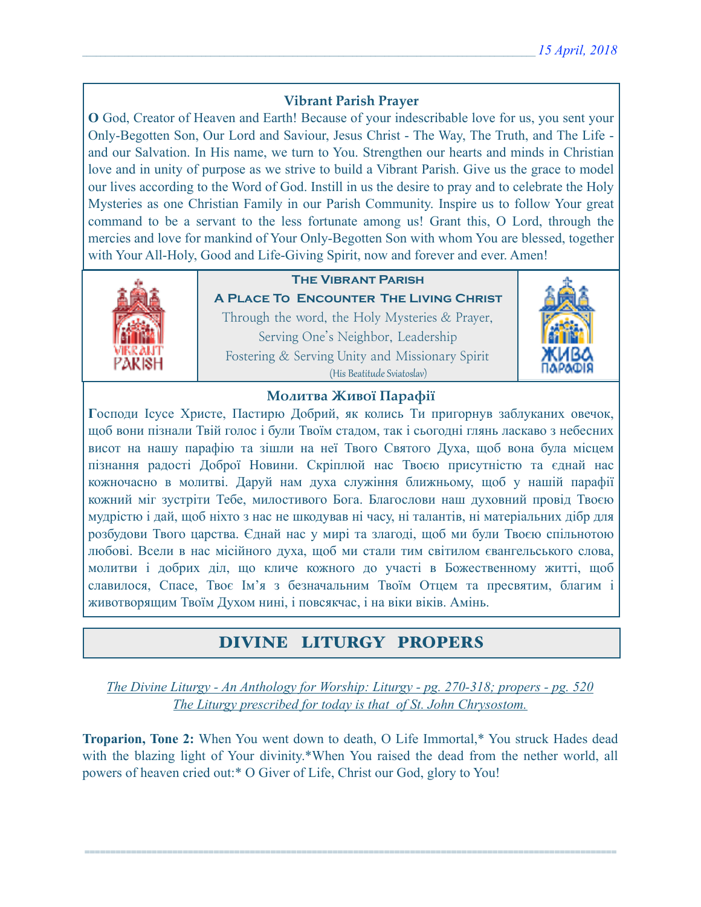## **Vibrant Parish Prayer**

**O** God, Creator of Heaven and Earth! Because of your indescribable love for us, you sent your Only-Begotten Son, Our Lord and Saviour, Jesus Christ - The Way, The Truth, and The Life and our Salvation. In His name, we turn to You. Strengthen our hearts and minds in Christian love and in unity of purpose as we strive to build a Vibrant Parish. Give us the grace to model our lives according to the Word of God. Instill in us the desire to pray and to celebrate the Holy Mysteries as one Christian Family in our Parish Community. Inspire us to follow Your great command to be a servant to the less fortunate among us! Grant this, O Lord, through the mercies and love for mankind of Your Only-Begotten Son with whom You are blessed, together with Your All-Holy, Good and Life-Giving Spirit, now and forever and ever. Amen!



## **The Vibrant Parish**

**A Place To Encounter The Living Christ** Through the word, the Holy Mysteries & Prayer, Serving One's Neighbor, Leadership Fostering & Serving Unity and Missionary Spirit (His Beatitude Sviatoslav)



### **Молитва Живої Парафії**

**Г**осподи Ісусе Христе, Пастирю Добрий, як колись Ти пригорнув заблуканих овечок, щоб вони пізнали Твій голос і були Твоїм стадом, так і сьогодні глянь ласкаво з небесних висот на нашу парафію та зішли на неї Твого Святого Духа, щоб вона була місцем пізнання радості Доброї Новини. Скріплюй нас Твоєю присутністю та єднай нас кожночасно в молитві. Даруй нам духа служіння ближньому, щоб у нашій парафії кожний міг зустріти Тебе, милостивого Бога. Благослови наш духовний провід Твоєю мудрістю і дай, щоб ніхто з нас не шкодував ні часу, ні талантів, ні матеріальних дібр для розбудови Твого царства. Єднай нас у мирі та злагоді, щоб ми були Твоєю спільнотою любові. Всели в нас місійного духа, щоб ми стали тим світилом євангельського слова, молитви і добрих діл, що кличе кожного до участі в Божественному житті, щоб славилося, Спасе, Твоє Ім'я з безначальним Твоїм Отцем та пресвятим, благим і животворящим Твоїм Духом нині, і повсякчас, і на віки віків. Амінь.

# DIVINE LITURGY PROPERS

*The Divine Liturgy - An Anthology for Worship: Liturgy - pg. 270-318; propers - pg. 520 The Liturgy prescribed for today is that of St. John Chrysostom.* 

**Troparion, Tone 2:** When You went down to death, O Life Immortal,\* You struck Hades dead with the blazing light of Your divinity.\*When You raised the dead from the nether world, all powers of heaven cried out:\* O Giver of Life, Christ our God, glory to You!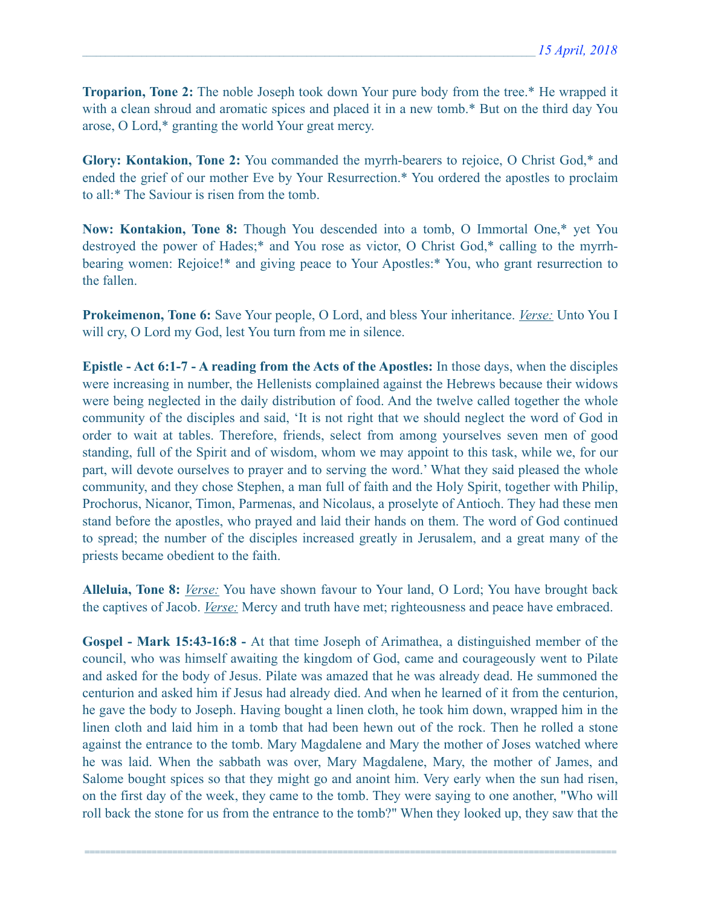**Troparion, Tone 2:** The noble Joseph took down Your pure body from the tree.\* He wrapped it with a clean shroud and aromatic spices and placed it in a new tomb.\* But on the third day You arose, O Lord,\* granting the world Your great mercy.

**Glory: Kontakion, Tone 2:** You commanded the myrrh-bearers to rejoice, O Christ God,\* and ended the grief of our mother Eve by Your Resurrection.\* You ordered the apostles to proclaim to all:\* The Saviour is risen from the tomb.

**Now: Kontakion, Tone 8:** Though You descended into a tomb, O Immortal One,\* yet You destroyed the power of Hades;\* and You rose as victor, O Christ God,\* calling to the myrrhbearing women: Rejoice!\* and giving peace to Your Apostles:\* You, who grant resurrection to the fallen.

**Prokeimenon, Tone 6:** Save Your people, O Lord, and bless Your inheritance. *Verse:* Unto You I will cry, O Lord my God, lest You turn from me in silence.

**Epistle - Act 6:1-7 - A reading from the Acts of the Apostles:** In those days, when the disciples were increasing in number, the Hellenists complained against the Hebrews because their widows were being neglected in the daily distribution of food. And the twelve called together the whole community of the disciples and said, 'It is not right that we should neglect the word of God in order to wait at tables. Therefore, friends, select from among yourselves seven men of good standing, full of the Spirit and of wisdom, whom we may appoint to this task, while we, for our part, will devote ourselves to prayer and to serving the word.' What they said pleased the whole community, and they chose Stephen, a man full of faith and the Holy Spirit, together with Philip, Prochorus, Nicanor, Timon, Parmenas, and Nicolaus, a proselyte of Antioch. They had these men stand before the apostles, who prayed and laid their hands on them. The word of God continued to spread; the number of the disciples increased greatly in Jerusalem, and a great many of the priests became obedient to the faith.

**Alleluia, Tone 8:** *Verse:* You have shown favour to Your land, O Lord; You have brought back the captives of Jacob. *Verse:* Mercy and truth have met; righteousness and peace have embraced.

**Gospel - Mark 15:43-16:8 -** At that time Joseph of Arimathea, a distinguished member of the council, who was himself awaiting the kingdom of God, came and courageously went to Pilate and asked for the body of Jesus. Pilate was amazed that he was already dead. He summoned the centurion and asked him if Jesus had already died. And when he learned of it from the centurion, he gave the body to Joseph. Having bought a linen cloth, he took him down, wrapped him in the linen cloth and laid him in a tomb that had been hewn out of the rock. Then he rolled a stone against the entrance to the tomb. Mary Magdalene and Mary the mother of Joses watched where he was laid. When the sabbath was over, Mary Magdalene, Mary, the mother of James, and Salome bought spices so that they might go and anoint him. Very early when the sun had risen, on the first day of the week, they came to the tomb. They were saying to one another, "Who will roll back the stone for us from the entrance to the tomb?" When they looked up, they saw that the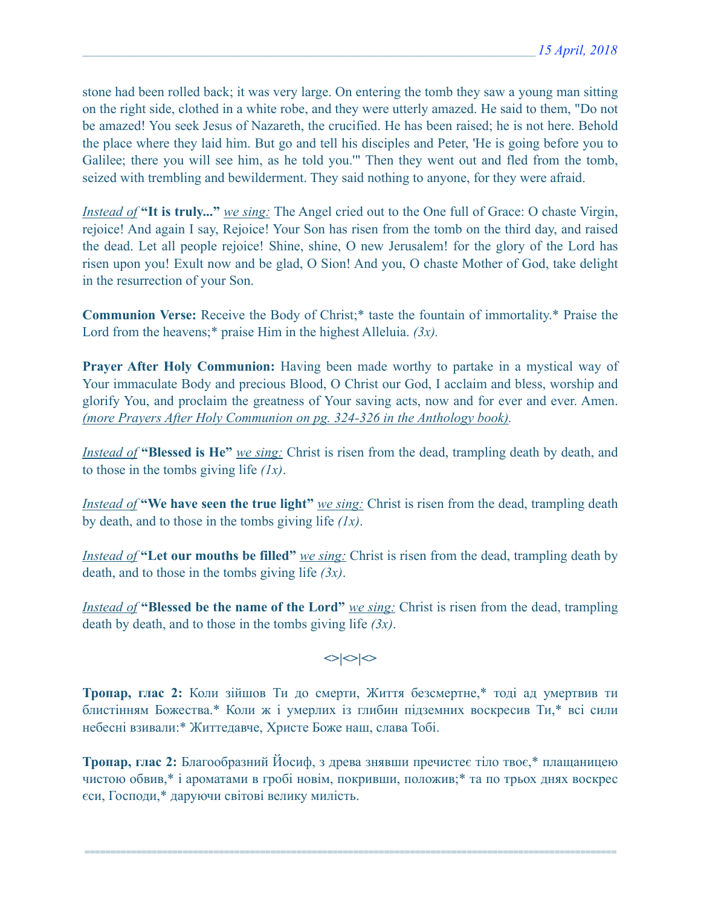stone had been rolled back; it was very large. On entering the tomb they saw a young man sitting on the right side, clothed in a white robe, and they were utterly amazed. He said to them, "Do not be amazed! You seek Jesus of Nazareth, the crucified. He has been raised; he is not here. Behold the place where they laid him. But go and tell his disciples and Peter, 'He is going before you to Galilee; there you will see him, as he told you.'" Then they went out and fled from the tomb, seized with trembling and bewilderment. They said nothing to anyone, for they were afraid.

*Instead of* **"It is truly..."** *we sing:* The Angel cried out to the One full of Grace: O chaste Virgin, rejoice! And again I say, Rejoice! Your Son has risen from the tomb on the third day, and raised the dead. Let all people rejoice! Shine, shine, O new Jerusalem! for the glory of the Lord has risen upon you! Exult now and be glad, O Sion! And you, O chaste Mother of God, take delight in the resurrection of your Son.

**Communion Verse:** Receive the Body of Christ;\* taste the fountain of immortality.\* Praise the Lord from the heavens;\* praise Him in the highest Alleluia. *(3x).*

**Prayer After Holy Communion:** Having been made worthy to partake in a mystical way of Your immaculate Body and precious Blood, O Christ our God, I acclaim and bless, worship and glorify You, and proclaim the greatness of Your saving acts, now and for ever and ever. Amen. *(more Prayers After Holy Communion on pg. 324-326 in the Anthology book).*

*Instead of* **"Blessed is He"** *we sing:* Christ is risen from the dead, trampling death by death, and to those in the tombs giving life *(1x)*.

*Instead of* **"We have seen the true light"** *we sing:* Christ is risen from the dead, trampling death by death, and to those in the tombs giving life *(1x)*.

*Instead of* **"Let our mouths be filled"** *we sing:* Christ is risen from the dead, trampling death by death, and to those in the tombs giving life *(3x)*.

*Instead of* **"Blessed be the name of the Lord"** *we sing:* Christ is risen from the dead, trampling death by death, and to those in the tombs giving life *(3x)*.

# $\left| \diamond \right| \diamond \left| \diamond \right|$

**Тропар, глас 2:** Коли зійшов Ти до смерти, Життя безсмертне,\* тоді ад умертвив ти блистінням Божества.\* Коли ж і умерлих із глибин підземних воскресив Ти,\* всі сили небесні взивали:\* Життедавче, Христе Боже наш, слава Тобі.

**Тропар, глас 2:** Благообразний Йосиф, з древа знявши пречистеє тіло твоє,\* плащаницею чистою обвив,\* і ароматами в гробі новім, покривши, положив;\* та по трьох днях воскрес єси, Господи,\* даруючи світові велику милість.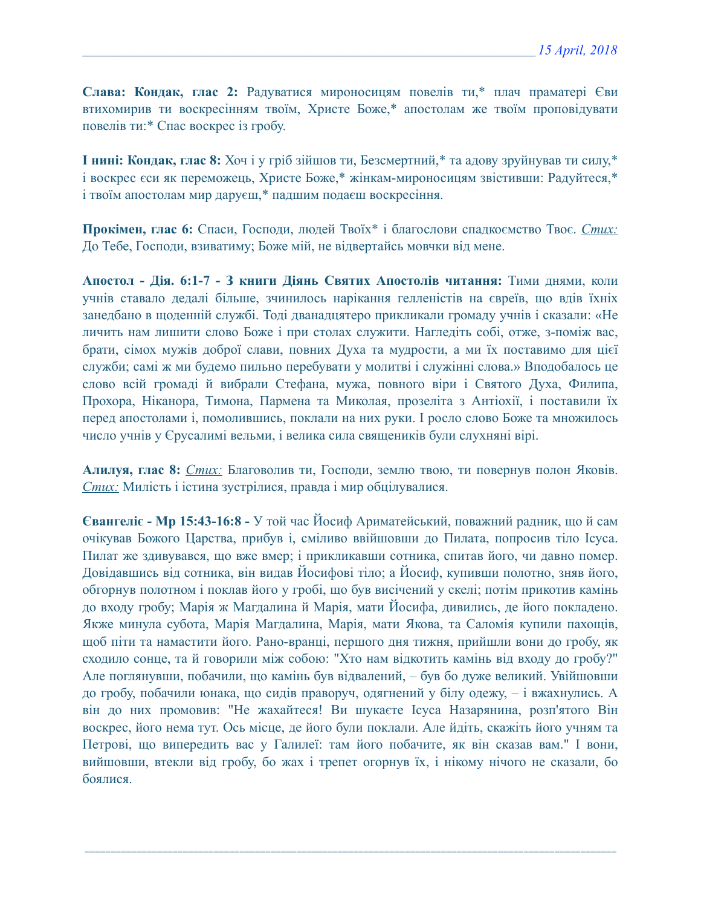**Слава: Кондак, глас 2:** Радуватися мироносицям повелів ти,\* плач праматері Єви втихомирив ти воскресінням твоїм, Христе Боже,\* апостолам же твоїм проповідувати повелів ти:\* Спас воскрес із гробу.

**І нині: Кондак, глас 8:** Хоч і у гріб зійшов ти, Безсмертний,\* та адову зруйнував ти силу,\* і воскрес єси як переможець, Христе Боже,\* жінкам-мироносицям звістивши: Радуйтеся,\* і твоїм апостолам мир даруєш,\* падшим подаєш воскресіння.

**Прокімен, глас 6:** Спаси, Господи, людей Твоїх\* і благослови спадкоємство Твоє. *Стих:*  До Тебе, Господи, взиватиму; Боже мій, не відвертайсь мовчки від мене.

**Апостол - Дія. 6:1-7 - З книги Діянь Святих Апостолів читання:** Тими днями, коли учнів ставало дедалі більше, зчинилось нарікання гелленістів на євреїв, що вдів їхніх занедбано в щоденній службі. Тоді дванадцятеро прикликали громаду учнів і сказали: «Не личить нам лишити слово Боже і при столах служити. Нагледіть собі, отже, з-поміж вас, брати, сімох мужів доброї слави, повних Духа та мудрости, а ми їх поставимо для цієї служби; самі ж ми будемо пильно перебувати у молитві і служінні слова.» Вподобалось це слово всій громаді й вибрали Стефана, мужа, повного віри і Святого Духа, Филипа, Прохора, Ніканора, Тимона, Пармена та Миколая, прозеліта з Антіохії, і поставили їх перед апостолами і, помолившись, поклали на них руки. І росло слово Боже та множилось число учнів у Єрусалимі вельми, і велика сила священиків були слухняні вірі.

**Алилуя, глас 8:** *Стих:* Благоволив ти, Господи, землю твою, ти повернув полон Яковів. *Стих:* Милість і істина зустрілися, правда і мир обцілувалися.

**Євангеліє - Мр 15:43-16:8 -** У той час Йосиф Ариматейський, поважний радник, що й сам очікував Божого Царства, прибув і, сміливо ввійшовши до Пилата, попросив тіло Ісуса. Пилат же здивувався, що вже вмер; і прикликавши сотника, спитав його, чи давно помер. Довідавшись від сотника, він видав Йосифові тіло; а Йосиф, купивши полотно, зняв його, обгорнув полотном і поклав його у гробі, що був висічений у скелі; потім прикотив камінь до входу гробу; Марія ж Магдалина й Марія, мати Йосифа, дивились, де його покладено. Якже минула субота, Марія Магдалина, Марія, мати Якова, та Саломія купили пахощів, щоб піти та намастити його. Рано-вранці, першого дня тижня, прийшли вони до гробу, як сходило сонце, та й говорили між собою: "Хто нам відкотить камінь від входу до гробу?" Але поглянувши, побачили, що камінь був відвалений, – був бо дуже великий. Увійшовши до гробу, побачили юнака, що сидів праворуч, одягнений у білу одежу, – і вжахнулись. А він до них промовив: "Не жахайтеся! Ви шукаєте Ісуса Назарянина, розп'ятого Він воскрес, його нема тут. Ось місце, де його були поклали. Але йдіть, скажіть його учням та Петрові, що випередить вас у Галилеї: там його побачите, як він сказав вам." І вони, вийшовши, втекли від гробу, бо жах і трепет огорнув їх, і нікому нічого не сказали, бо боялися.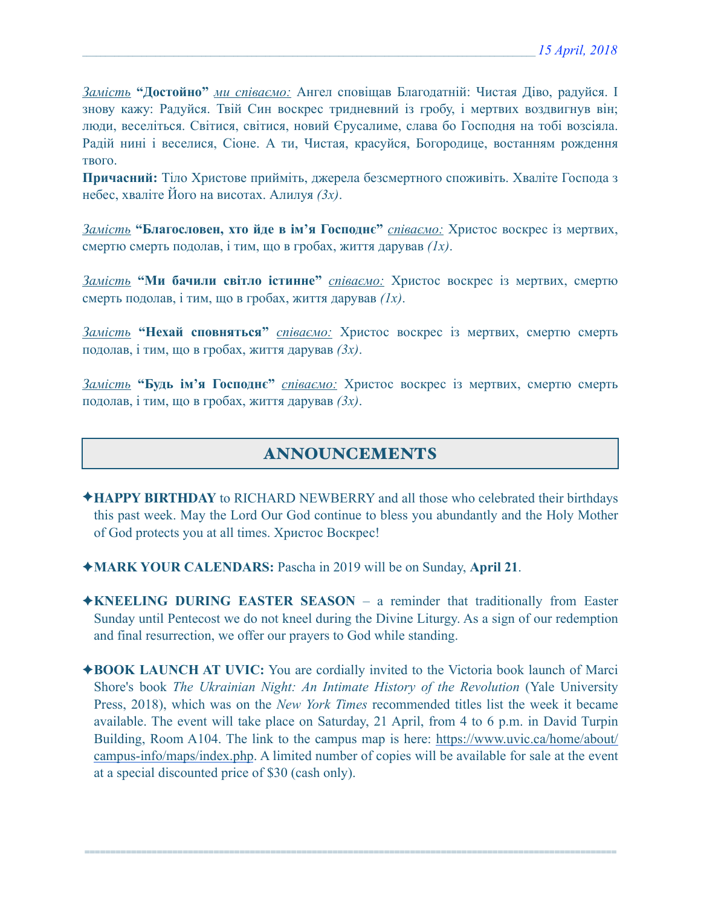*Замість* **"Достойно"** *ми співаємо:* Ангел сповіщав Благодатній: Чистая Діво, радуйся. І знову кажу: Радуйся. Твій Син воскрес тридневний із гробу, і мертвих воздвигнув він; люди, веселіться. Світися, світися, новий Єрусалиме, слава бо Господня на тобі возсіяла. Радій нині і веселися, Сіоне. А ти, Чистая, красуйся, Богородице, востанням рождення твого.

**Причасний:** Тіло Христове прийміть, джерела безсмертного споживіть. Хваліте Господа з небес, хваліте Його на висотах. Алилуя *(3x)*.

*Замість* **"Благословен, хто йде в ім'я Господнє"** *співаємо:* Христос воскрес із мертвих, смертю смерть подолав, і тим, що в гробах, життя дарував *(1x)*.

*Замість* **"Ми бачили світло істинне"** *співаємо:* Христос воскрес із мертвих, смертю смерть подолав, і тим, що в гробах, життя дарував *(1x)*.

*Замість* **"Нехай сповняться"** *співаємо:* Христос воскрес із мертвих, смертю смерть подолав, і тим, що в гробах, життя дарував *(3x)*.

*Замість* **"Будь ім'я Господнє"** *співаємо:* Христос воскрес із мертвих, смертю смерть подолав, і тим, що в гробах, життя дарував *(3x)*.

# ANNOUNCEMENTS

- ✦**HAPPY BIRTHDAY** to RICHARD NEWBERRY and all those who celebrated their birthdays this past week. May the Lord Our God continue to bless you abundantly and the Holy Mother of God protects you at all times. Христос Воскрес!
- ✦**MARK YOUR CALENDARS:** Pascha in 2019 will be on Sunday, **April 21**.
- ✦**KNEELING DURING EASTER SEASON**  a reminder that traditionally from Easter Sunday until Pentecost we do not kneel during the Divine Liturgy. As a sign of our redemption and final resurrection, we offer our prayers to God while standing.
- ✦**BOOK LAUNCH AT UVIC:** You are cordially invited to the Victoria book launch of Marci Shore's book *The Ukrainian Night: An Intimate History of the Revolution* (Yale University Press, 2018), which was on the *New York Times* recommended titles list the week it became available. The event will take place on Saturday, 21 April, from 4 to 6 p.m. in David Turpin Building, Room A104. The link to the campus map is here: [https://www.uvic.ca/home/about/](https://www.uvic.ca/home/about/campus-info/maps/index.php) [campus-info/maps/index.php](https://www.uvic.ca/home/about/campus-info/maps/index.php). A limited number of copies will be available for sale at the event at a special discounted price of \$30 (cash only).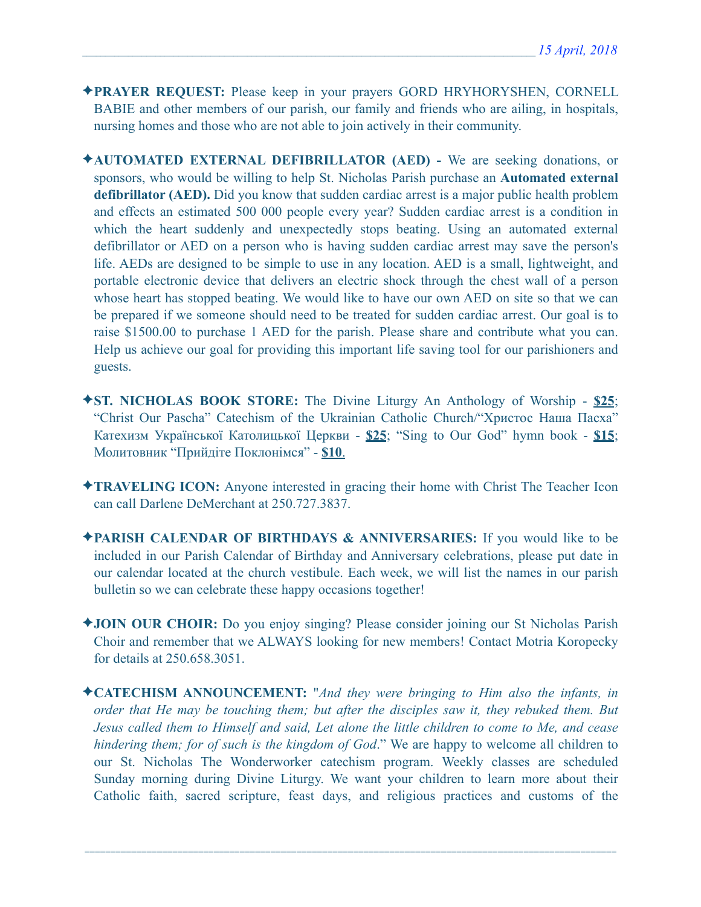- ✦**PRAYER REQUEST:** Please keep in your prayers GORD HRYHORYSHEN, CORNELL BABIE and other members of our parish, our family and friends who are ailing, in hospitals, nursing homes and those who are not able to join actively in their community.
- ✦**AUTOMATED EXTERNAL DEFIBRILLATOR (AED)** We are seeking donations, or sponsors, who would be willing to help St. Nicholas Parish purchase an **Automated external defibrillator (AED).** Did you know that sudden cardiac arrest is a major public health problem and effects an estimated 500 000 people every year? Sudden cardiac arrest is a condition in which the heart suddenly and unexpectedly stops beating. Using an automated external defibrillator or AED on a person who is having sudden cardiac arrest may save the person's life. AEDs are designed to be simple to use in any location. AED is a small, lightweight, and portable electronic device that delivers an electric shock through the chest wall of a person whose heart has stopped beating. We would like to have our own AED on site so that we can be prepared if we someone should need to be treated for sudden cardiac arrest. Our goal is to raise \$1500.00 to purchase 1 AED for the parish. Please share and contribute what you can. Help us achieve our goal for providing this important life saving tool for our parishioners and guests.
- ✦**ST. NICHOLAS BOOK STORE:** The Divine Liturgy An Anthology of Worship **\$25**; "Christ Our Pascha" Catechism of the Ukrainian Catholic Church/"Христос Наша Пасха" Катехизм Української Католицької Церкви - **\$25**; "Sing to Our God" hymn book - **\$15**; Молитовник "Прийдіте Поклонімся" - **\$10**.
- ✦**TRAVELING ICON:** Anyone interested in gracing their home with Christ The Teacher Icon can call Darlene DeMerchant at 250.727.3837.
- ✦**PARISH CALENDAR OF BIRTHDAYS & ANNIVERSARIES:** If you would like to be included in our Parish Calendar of Birthday and Anniversary celebrations, please put date in our calendar located at the church vestibule. Each week, we will list the names in our parish bulletin so we can celebrate these happy occasions together!
- ✦**JOIN OUR CHOIR:** Do you enjoy singing? Please consider joining our St Nicholas Parish Choir and remember that we ALWAYS looking for new members! Contact Motria Koropecky for details at 250.658.3051.
- ✦**CATECHISM ANNOUNCEMENT:** "*And they were bringing to Him also the infants, in order that He may be touching them; but after the disciples saw it, they rebuked them. But Jesus called them to Himself and said, Let alone the little children to come to Me, and cease hindering them; for of such is the kingdom of God*." We are happy to welcome all children to our St. Nicholas The Wonderworker catechism program. Weekly classes are scheduled Sunday morning during Divine Liturgy. We want your children to learn more about their Catholic faith, sacred scripture, feast days, and religious practices and customs of the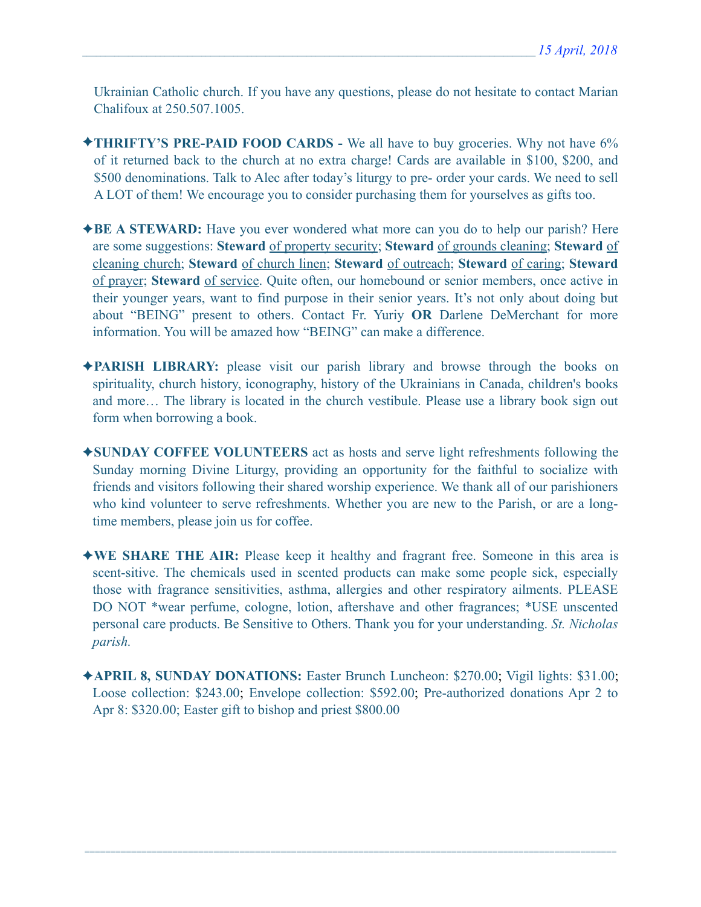Ukrainian Catholic church. If you have any questions, please do not hesitate to contact Marian Chalifoux at 250.507.1005.

- ✦**THRIFTY'S PRE-PAID FOOD CARDS** We all have to buy groceries. Why not have 6% of it returned back to the church at no extra charge! Cards are available in \$100, \$200, and \$500 denominations. Talk to Alec after today's liturgy to pre- order your cards. We need to sell A LOT of them! We encourage you to consider purchasing them for yourselves as gifts too.
- ✦**BE A STEWARD:** Have you ever wondered what more can you do to help our parish? Here are some suggestions: **Steward** of property security; **Steward** of grounds cleaning; **Steward** of cleaning church; **Steward** of church linen; **Steward** of outreach; **Steward** of caring; **Steward** of prayer; **Steward** of service. Quite often, our homebound or senior members, once active in their younger years, want to find purpose in their senior years. It's not only about doing but about "BEING" present to others. Contact Fr. Yuriy **OR** Darlene DeMerchant for more information. You will be amazed how "BEING" can make a difference.
- ✦**PARISH LIBRARY:** please visit our parish library and browse through the books on spirituality, church history, iconography, history of the Ukrainians in Canada, children's books and more… The library is located in the church vestibule. Please use a library book sign out form when borrowing a book.
- ✦**SUNDAY COFFEE VOLUNTEERS** act as hosts and serve light refreshments following the Sunday morning Divine Liturgy, providing an opportunity for the faithful to socialize with friends and visitors following their shared worship experience. We thank all of our parishioners who kind volunteer to serve refreshments. Whether you are new to the Parish, or are a longtime members, please join us for coffee.
- ✦**WE SHARE THE AIR:** Please keep it healthy and fragrant free. Someone in this area is scent-sitive. The chemicals used in scented products can make some people sick, especially those with fragrance sensitivities, asthma, allergies and other respiratory ailments. PLEASE DO NOT \*wear perfume, cologne, lotion, aftershave and other fragrances; \*USE unscented personal care products. Be Sensitive to Others. Thank you for your understanding. *St. Nicholas parish.*
- ✦**APRIL 8, SUNDAY DONATIONS:** Easter Brunch Luncheon: \$270.00; Vigil lights: \$31.00; Loose collection: \$243.00; Envelope collection: \$592.00; Pre-authorized donations Apr 2 to Apr 8: \$320.00; Easter gift to bishop and priest \$800.00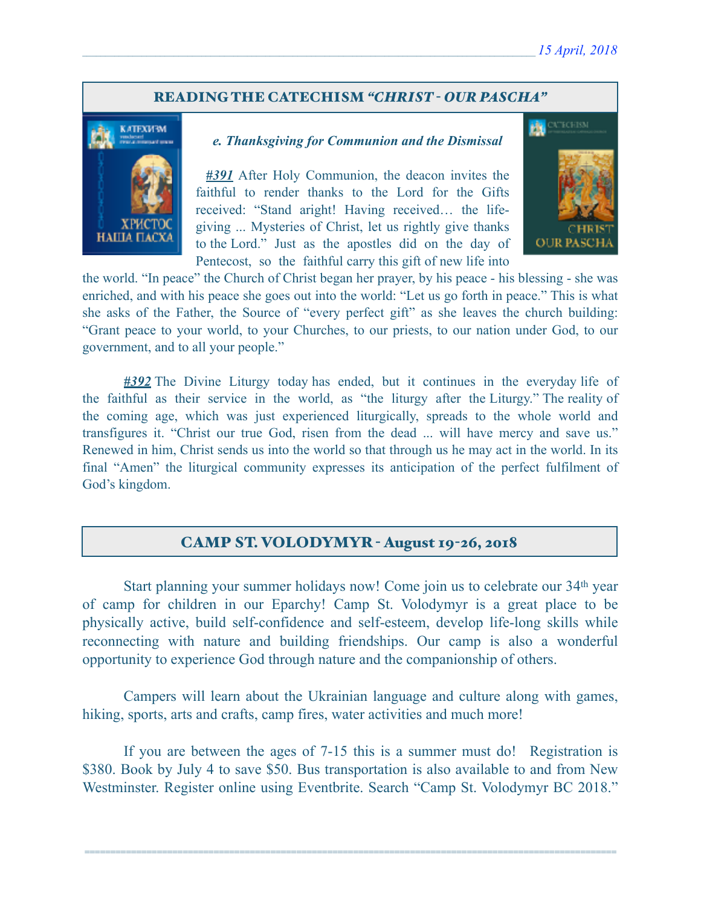### READING THE CATECHISM *"CHRIST - OUR PASCHA"*



#### *e. Thanksgiving for Communion and the Dismissal*

*#391* After Holy Communion, the deacon invites the faithful to render thanks to the Lord for the Gifts received: "Stand aright! Having received… the lifegiving ... Mysteries of Christ, let us rightly give thanks to the Lord." Just as the apostles did on the day of Pentecost, so the faithful carry this gift of new life into



the world. "In peace" the Church of Christ began her prayer, by his peace - his blessing - she was enriched, and with his peace she goes out into the world: "Let us go forth in peace." This is what she asks of the Father, the Source of "every perfect gift" as she leaves the church building: "Grant peace to your world, to your Churches, to our priests, to our nation under God, to our government, and to all your people."

*#392* The Divine Liturgy today has ended, but it continues in the everyday life of the faithful as their service in the world, as "the liturgy after the Liturgy." The reality of the coming age, which was just experienced liturgically, spreads to the whole world and transfigures it. "Christ our true God, risen from the dead ... will have mercy and save us." Renewed in him, Christ sends us into the world so that through us he may act in the world. In its final "Amen" the liturgical community expresses its anticipation of the perfect fulfilment of God's kingdom.

## CAMP ST. VOLODYMYR - August 19-26, 2018

 Start planning your summer holidays now! Come join us to celebrate our 34th year of camp for children in our Eparchy! Camp St. Volodymyr is a great place to be physically active, build self-confidence and self-esteem, develop life-long skills while reconnecting with nature and building friendships. Our camp is also a wonderful opportunity to experience God through nature and the companionship of others.

 Campers will learn about the Ukrainian language and culture along with games, hiking, sports, arts and crafts, camp fires, water activities and much more!

 If you are between the ages of 7-15 this is a summer must do! Registration is \$380. Book by July 4 to save \$50. Bus transportation is also available to and from New Westminster. Register online using Eventbrite. Search "Camp St. Volodymyr BC 2018."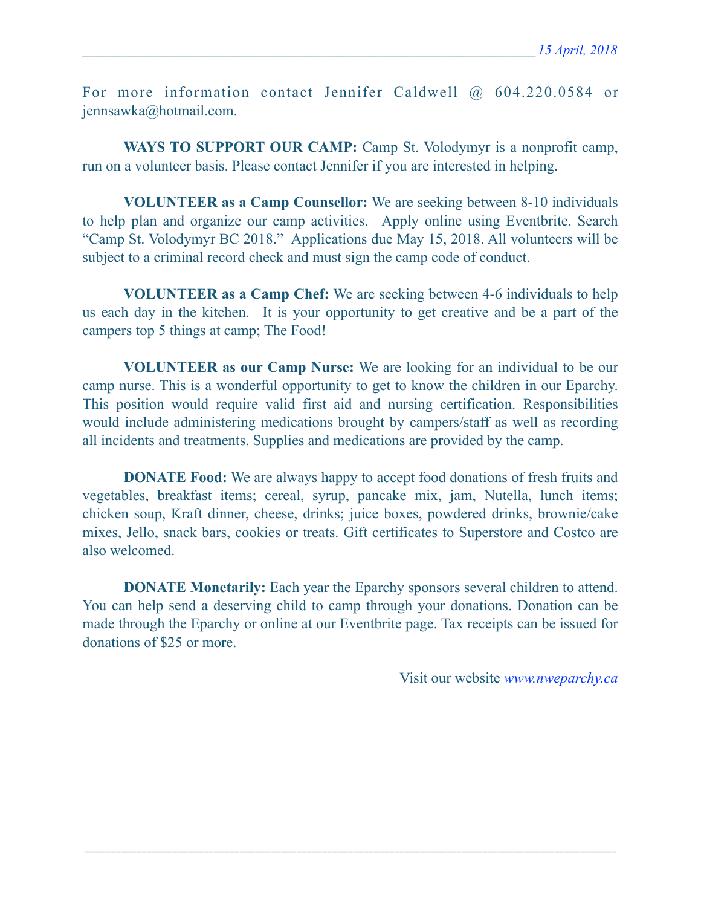For more information contact Jennifer Caldwell @ 604.220.0584 or [jennsawka@hotmail.com](mailto:jennsawka@hotmail.com).

WAYS TO SUPPORT OUR CAMP: Camp St. Volodymyr is a nonprofit camp, run on a volunteer basis. Please contact Jennifer if you are interested in helping.

**VOLUNTEER as a Camp Counsellor:** We are seeking between 8-10 individuals to help plan and organize our camp activities. Apply online using Eventbrite. Search "Camp St. Volodymyr BC 2018." Applications due May 15, 2018. All volunteers will be subject to a criminal record check and must sign the camp code of conduct.

**VOLUNTEER as a Camp Chef:** We are seeking between 4-6 individuals to help us each day in the kitchen. It is your opportunity to get creative and be a part of the campers top 5 things at camp; The Food!

**VOLUNTEER as our Camp Nurse:** We are looking for an individual to be our camp nurse. This is a wonderful opportunity to get to know the children in our Eparchy. This position would require valid first aid and nursing certification. Responsibilities would include administering medications brought by campers/staff as well as recording all incidents and treatments. Supplies and medications are provided by the camp.

**DONATE Food:** We are always happy to accept food donations of fresh fruits and vegetables, breakfast items; cereal, syrup, pancake mix, jam, Nutella, lunch items; chicken soup, Kraft dinner, cheese, drinks; juice boxes, powdered drinks, brownie/cake mixes, Jello, snack bars, cookies or treats. Gift certificates to Superstore and Costco are also welcomed.

**DONATE Monetarily:** Each year the Eparchy sponsors several children to attend. You can help send a deserving child to camp through your donations. Donation can be made through the Eparchy or online at our Eventbrite page. Tax receipts can be issued for donations of \$25 or more.

=======================================================================================================

Visit our website *[www.nweparchy.ca](http://www.nweparchy.ca)*